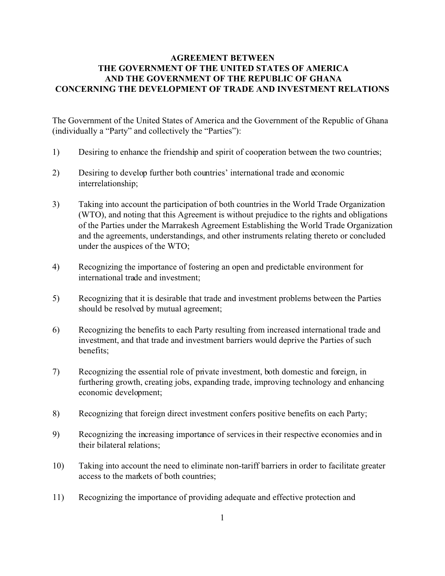# **AGREEMENT BETWEEN THE GOVERNMENT OF THE UNITED STATES OF AMERICA AND THE GOVERNMENT OF THE REPUBLIC OF GHANA CONCERNING THE DEVELOPMENT OF TRADE AND INVESTMENT RELATIONS**

The Government of the United States of America and the Government of the Republic of Ghana (individually a "Party" and collectively the "Parties"):

- 1) Desiring to enhance the friendship and spirit of cooperation between the two countries;
- 2) Desiring to develop further both countries' international trade and economic interrelationship;
- 3) Taking into account the participation of both countries in the World Trade Organization (WTO), and noting that this Agreement is without prejudice to the rights and obligations of the Parties under the Marrakesh Agreement Establishing the World Trade Organization and the agreements, understandings, and other instruments relating thereto or concluded under the auspices of the WTO;
- 4) Recognizing the importance of fostering an open and predictable environment for international trade and investment;
- 5) Recognizing that it is desirable that trade and investment problems between the Parties should be resolved by mutual agreement;
- 6) Recognizing the benefits to each Party resulting from increased international trade and investment, and that trade and investment barriers would deprive the Parties of such benefits;
- 7) Recognizing the essential role of private investment, both domestic and foreign, in furthering growth, creating jobs, expanding trade, improving technology and enhancing economic development;
- 8) Recognizing that foreign direct investment confers positive benefits on each Party;
- 9) Recognizing the increasing importance of services in their respective economies and in their bilateral relations;
- 10) Taking into account the need to eliminate non-tariff barriers in order to facilitate greater access to the markets of both countries;
- 11) Recognizing the importance of providing adequate and effective protection and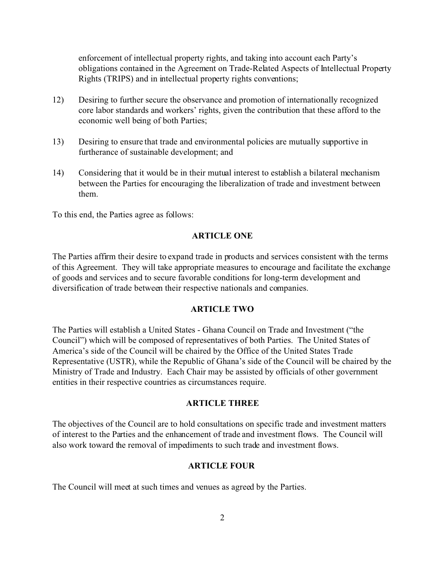enforcement of intellectual property rights, and taking into account each Party's obligations contained in the Agreement on Trade-Related Aspects of Intellectual Property Rights (TRIPS) and in intellectual property rights conventions;

- 12) Desiring to further secure the observance and promotion of internationally recognized core labor standards and workers' rights, given the contribution that these afford to the economic well being of both Parties;
- 13) Desiring to ensure that trade and environmental policies are mutually supportive in furtherance of sustainable development; and
- 14) Considering that it would be in their mutual interest to establish a bilateral mechanism between the Parties for encouraging the liberalization of trade and investment between them.

To this end, the Parties agree as follows:

#### **ARTICLE ONE**

The Parties affirm their desire to expand trade in products and services consistent with the terms of this Agreement. They will take appropriate measures to encourage and facilitate the exchange of goods and services and to secure favorable conditions for long-term development and diversification of trade between their respective nationals and companies.

#### **ARTICLE TWO**

The Parties will establish a United States - Ghana Council on Trade and Investment ("the Council") which will be composed of representatives of both Parties. The United States of America's side of the Council will be chaired by the Office of the United States Trade Representative (USTR), while the Republic of Ghana's side of the Council will be chaired by the Ministry of Trade and Industry. Each Chair may be assisted by officials of other government entities in their respective countries as circumstances require.

#### **ARTICLE THREE**

The objectives of the Council are to hold consultations on specific trade and investment matters of interest to the Parties and the enhancement of trade and investment flows. The Council will also work toward the removal of impediments to such trade and investment flows.

#### **ARTICLE FOUR**

The Council will meet at such times and venues as agreed by the Parties.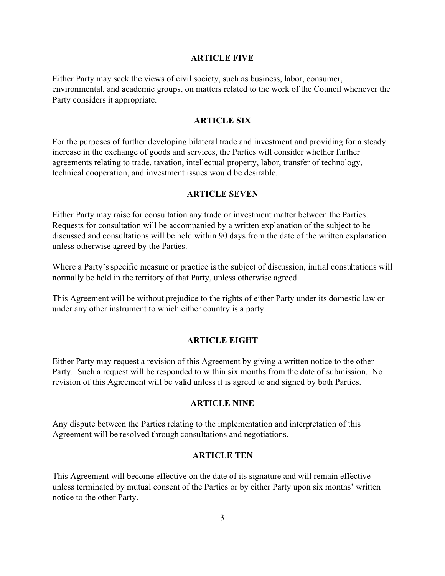#### **ARTICLE FIVE**

Either Party may seek the views of civil society, such as business, labor, consumer, environmental, and academic groups, on matters related to the work of the Council whenever the Party considers it appropriate.

### **ARTICLE SIX**

For the purposes of further developing bilateral trade and investment and providing for a steady increase in the exchange of goods and services, the Parties will consider whether further agreements relating to trade, taxation, intellectual property, labor, transfer of technology, technical cooperation, and investment issues would be desirable.

#### **ARTICLE SEVEN**

Either Party may raise for consultation any trade or investment matter between the Parties. Requests for consultation will be accompanied by a written explanation of the subject to be discussed and consultations will be held within 90 days from the date of the written explanation unless otherwise agreed by the Parties.

Where a Party's specific measure or practice is the subject of discussion, initial consultations will normally be held in the territory of that Party, unless otherwise agreed.

This Agreement will be without prejudice to the rights of either Party under its domestic law or under any other instrument to which either country is a party.

#### **ARTICLE EIGHT**

Either Party may request a revision of this Agreement by giving a written notice to the other Party. Such a request will be responded to within six months from the date of submission. No revision of this Agreement will be valid unless it is agreed to and signed by both Parties.

#### **ARTICLE NINE**

Any dispute between the Parties relating to the implementation and interpretation of this Agreement will be resolved through consultations and negotiations.

#### **ARTICLE TEN**

This Agreement will become effective on the date of its signature and will remain effective unless terminated by mutual consent of the Parties or by either Party upon six months' written notice to the other Party.